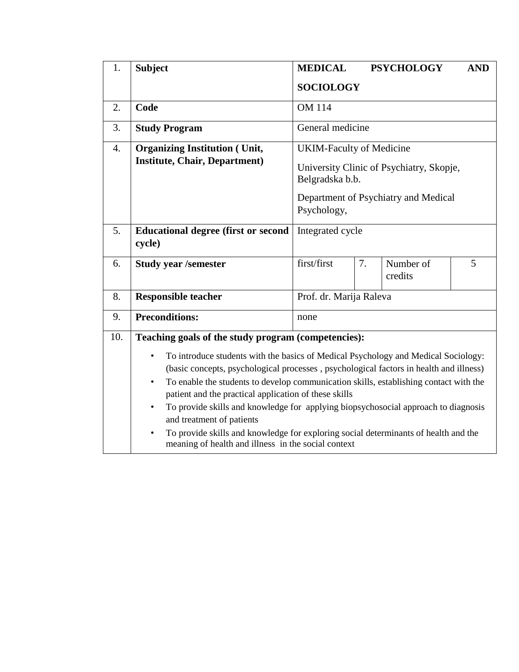| 1.  | <b>Subject</b>                                                                                                                                                                                                                                                                                                                                                                                                                                                                                                                                                                                                                                                                                | <b>MEDICAL</b>                                                                                                                                        |    | <b>PSYCHOLOGY</b>    | <b>AND</b> |  |  |  |
|-----|-----------------------------------------------------------------------------------------------------------------------------------------------------------------------------------------------------------------------------------------------------------------------------------------------------------------------------------------------------------------------------------------------------------------------------------------------------------------------------------------------------------------------------------------------------------------------------------------------------------------------------------------------------------------------------------------------|-------------------------------------------------------------------------------------------------------------------------------------------------------|----|----------------------|------------|--|--|--|
|     |                                                                                                                                                                                                                                                                                                                                                                                                                                                                                                                                                                                                                                                                                               | <b>SOCIOLOGY</b>                                                                                                                                      |    |                      |            |  |  |  |
| 2.  | Code                                                                                                                                                                                                                                                                                                                                                                                                                                                                                                                                                                                                                                                                                          | <b>OM 114</b>                                                                                                                                         |    |                      |            |  |  |  |
| 3.  | <b>Study Program</b>                                                                                                                                                                                                                                                                                                                                                                                                                                                                                                                                                                                                                                                                          | General medicine                                                                                                                                      |    |                      |            |  |  |  |
| 4.  | <b>Organizing Institution (Unit,</b><br><b>Institute, Chair, Department)</b>                                                                                                                                                                                                                                                                                                                                                                                                                                                                                                                                                                                                                  | <b>UKIM-Faculty of Medicine</b><br>University Clinic of Psychiatry, Skopje,<br>Belgradska b.b.<br>Department of Psychiatry and Medical<br>Psychology, |    |                      |            |  |  |  |
| 5.  | <b>Educational degree (first or second</b><br>cycle)                                                                                                                                                                                                                                                                                                                                                                                                                                                                                                                                                                                                                                          | Integrated cycle                                                                                                                                      |    |                      |            |  |  |  |
| 6.  | <b>Study year /semester</b>                                                                                                                                                                                                                                                                                                                                                                                                                                                                                                                                                                                                                                                                   | first/first                                                                                                                                           | 7. | Number of<br>credits | 5          |  |  |  |
| 8.  | <b>Responsible teacher</b>                                                                                                                                                                                                                                                                                                                                                                                                                                                                                                                                                                                                                                                                    | Prof. dr. Marija Raleva                                                                                                                               |    |                      |            |  |  |  |
| 9.  | <b>Preconditions:</b>                                                                                                                                                                                                                                                                                                                                                                                                                                                                                                                                                                                                                                                                         | none                                                                                                                                                  |    |                      |            |  |  |  |
| 10. | Teaching goals of the study program (competencies):<br>To introduce students with the basics of Medical Psychology and Medical Sociology:<br>$\bullet$<br>(basic concepts, psychological processes, psychological factors in health and illness)<br>To enable the students to develop communication skills, establishing contact with the<br>$\bullet$<br>patient and the practical application of these skills<br>To provide skills and knowledge for applying biopsychosocial approach to diagnosis<br>and treatment of patients<br>To provide skills and knowledge for exploring social determinants of health and the<br>$\bullet$<br>meaning of health and illness in the social context |                                                                                                                                                       |    |                      |            |  |  |  |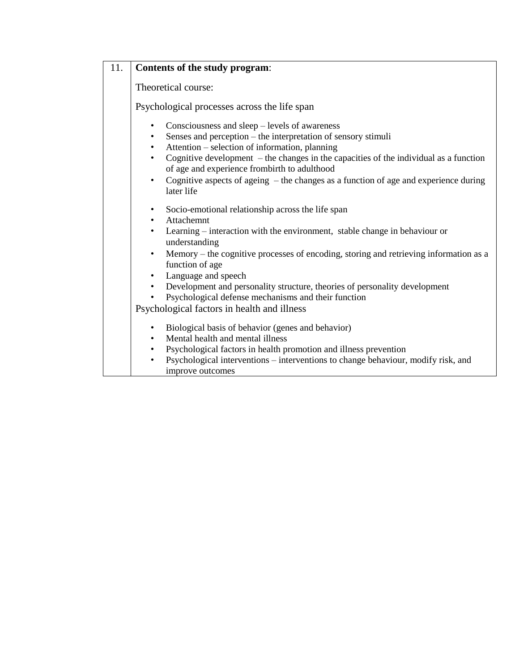| 11. | Contents of the study program:                                                                                                                                                                                                                                                                                                                                                                                                                                                                                                                         |  |  |  |  |  |  |  |
|-----|--------------------------------------------------------------------------------------------------------------------------------------------------------------------------------------------------------------------------------------------------------------------------------------------------------------------------------------------------------------------------------------------------------------------------------------------------------------------------------------------------------------------------------------------------------|--|--|--|--|--|--|--|
|     | Theoretical course:                                                                                                                                                                                                                                                                                                                                                                                                                                                                                                                                    |  |  |  |  |  |  |  |
|     | Psychological processes across the life span                                                                                                                                                                                                                                                                                                                                                                                                                                                                                                           |  |  |  |  |  |  |  |
|     | Consciousness and sleep – levels of awareness<br>$\bullet$<br>Senses and perception – the interpretation of sensory stimuli<br>$\bullet$<br>Attention – selection of information, planning<br>$\bullet$<br>Cognitive development $-$ the changes in the capacities of the individual as a function<br>$\bullet$<br>of age and experience frombirth to adulthood<br>Cognitive aspects of ageing – the changes as a function of age and experience during<br>$\bullet$<br>later life                                                                     |  |  |  |  |  |  |  |
|     | Socio-emotional relationship across the life span<br>$\bullet$<br>Attachemnt<br>$\bullet$<br>Learning - interaction with the environment, stable change in behaviour or<br>$\bullet$<br>understanding<br>Memory – the cognitive processes of encoding, storing and retrieving information as a<br>$\bullet$<br>function of age<br>Language and speech<br>Development and personality structure, theories of personality development<br>$\bullet$<br>Psychological defense mechanisms and their function<br>Psychological factors in health and illness |  |  |  |  |  |  |  |
|     | Biological basis of behavior (genes and behavior)<br>$\bullet$<br>Mental health and mental illness<br>$\bullet$<br>Psychological factors in health promotion and illness prevention<br>$\bullet$<br>Psychological interventions - interventions to change behaviour, modify risk, and<br>$\bullet$<br>improve outcomes                                                                                                                                                                                                                                 |  |  |  |  |  |  |  |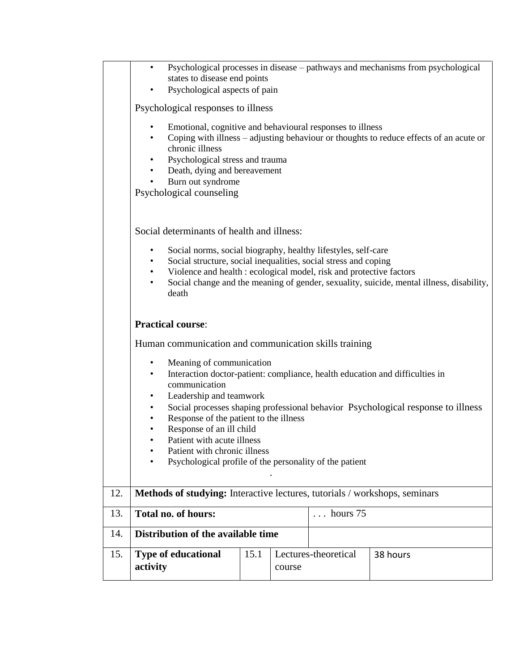|     | Psychological processes in disease – pathways and mechanisms from psychological<br>$\bullet$<br>states to disease end points<br>Psychological aspects of pain<br>٠ |      |        |                      |                                                                                        |  |  |  |  |  |  |
|-----|--------------------------------------------------------------------------------------------------------------------------------------------------------------------|------|--------|----------------------|----------------------------------------------------------------------------------------|--|--|--|--|--|--|
|     | Psychological responses to illness                                                                                                                                 |      |        |                      |                                                                                        |  |  |  |  |  |  |
|     | Emotional, cognitive and behavioural responses to illness<br>chronic illness<br>Psychological stress and trauma                                                    |      |        |                      | Coping with illness - adjusting behaviour or thoughts to reduce effects of an acute or |  |  |  |  |  |  |
|     | Death, dying and bereavement<br>٠<br>Burn out syndrome<br>$\bullet$                                                                                                |      |        |                      |                                                                                        |  |  |  |  |  |  |
|     | Psychological counseling                                                                                                                                           |      |        |                      |                                                                                        |  |  |  |  |  |  |
|     |                                                                                                                                                                    |      |        |                      |                                                                                        |  |  |  |  |  |  |
|     | Social determinants of health and illness:                                                                                                                         |      |        |                      |                                                                                        |  |  |  |  |  |  |
|     | Social norms, social biography, healthy lifestyles, self-care<br>$\bullet$                                                                                         |      |        |                      |                                                                                        |  |  |  |  |  |  |
|     | Social structure, social inequalities, social stress and coping<br>$\bullet$<br>Violence and health : ecological model, risk and protective factors<br>$\bullet$   |      |        |                      |                                                                                        |  |  |  |  |  |  |
|     | Social change and the meaning of gender, sexuality, suicide, mental illness, disability,<br>$\bullet$<br>death                                                     |      |        |                      |                                                                                        |  |  |  |  |  |  |
|     | <b>Practical course:</b>                                                                                                                                           |      |        |                      |                                                                                        |  |  |  |  |  |  |
|     | Human communication and communication skills training                                                                                                              |      |        |                      |                                                                                        |  |  |  |  |  |  |
|     | Meaning of communication<br>$\bullet$                                                                                                                              |      |        |                      |                                                                                        |  |  |  |  |  |  |
|     | Interaction doctor-patient: compliance, health education and difficulties in<br>$\bullet$<br>communication                                                         |      |        |                      |                                                                                        |  |  |  |  |  |  |
|     | Leadership and teamwork<br>$\bullet$                                                                                                                               |      |        |                      |                                                                                        |  |  |  |  |  |  |
|     | ٠<br>Response of the patient to the illness<br>٠                                                                                                                   |      |        |                      | Social processes shaping professional behavior Psychological response to illness       |  |  |  |  |  |  |
|     | Response of an ill child                                                                                                                                           |      |        |                      |                                                                                        |  |  |  |  |  |  |
|     | Patient with acute illness                                                                                                                                         |      |        |                      |                                                                                        |  |  |  |  |  |  |
|     | Patient with chronic illness<br>Psychological profile of the personality of the patient                                                                            |      |        |                      |                                                                                        |  |  |  |  |  |  |
|     |                                                                                                                                                                    |      |        |                      |                                                                                        |  |  |  |  |  |  |
| 12. | Methods of studying: Interactive lectures, tutorials / workshops, seminars                                                                                         |      |        |                      |                                                                                        |  |  |  |  |  |  |
| 13. | <b>Total no. of hours:</b>                                                                                                                                         |      |        | $\ldots$ hours 75    |                                                                                        |  |  |  |  |  |  |
| 14. | Distribution of the available time                                                                                                                                 |      |        |                      |                                                                                        |  |  |  |  |  |  |
| 15. | <b>Type of educational</b>                                                                                                                                         | 15.1 |        | Lectures-theoretical | 38 hours                                                                               |  |  |  |  |  |  |
|     | activity                                                                                                                                                           |      | course |                      |                                                                                        |  |  |  |  |  |  |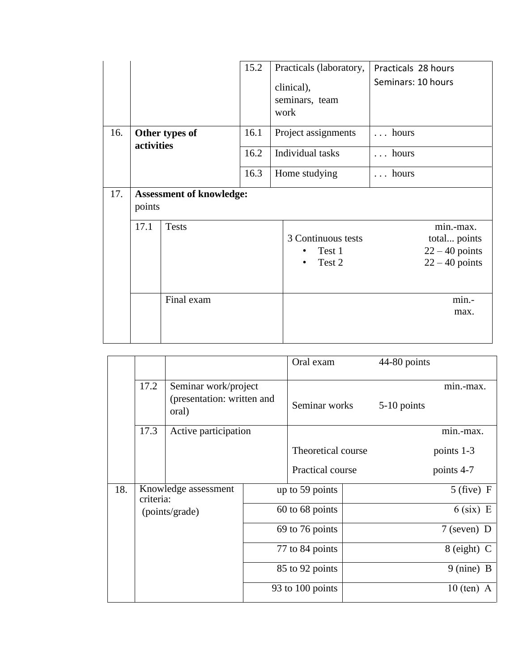|     |                                           | 15.2         | Practicals (laboratory,<br>clinical),<br>seminars, team<br>work |                                         | Practicals 28 hours<br>Seminars: 10 hours |                                                                   |  |
|-----|-------------------------------------------|--------------|-----------------------------------------------------------------|-----------------------------------------|-------------------------------------------|-------------------------------------------------------------------|--|
| 16. | Other types of<br>activities              |              | 16.1                                                            | Project assignments<br>Individual tasks |                                           | hours                                                             |  |
|     |                                           |              | 16.2                                                            |                                         |                                           | hours                                                             |  |
|     |                                           |              | 16.3                                                            | Home studying                           |                                           | $\ldots$ hours                                                    |  |
| 17. | <b>Assessment of knowledge:</b><br>points |              |                                                                 |                                         |                                           |                                                                   |  |
|     | 17.1                                      | <b>Tests</b> |                                                                 |                                         | 3 Continuous tests<br>Test 1<br>Test 2    | min.-max.<br>total points<br>$22 - 40$ points<br>$22 - 40$ points |  |
|     |                                           | Final exam   |                                                                 |                                         |                                           | min.-<br>max.                                                     |  |

|     |                                                     |                                                             |                  | Oral exam          | 44-80 points  |                      |
|-----|-----------------------------------------------------|-------------------------------------------------------------|------------------|--------------------|---------------|----------------------|
|     | 17.2                                                | Seminar work/project<br>(presentation: written and<br>oral) |                  | Seminar works      | 5-10 points   | min.-max.            |
|     | 17.3                                                | Active participation                                        |                  |                    |               | min.-max.            |
|     |                                                     |                                                             |                  | Theoretical course |               | points 1-3           |
|     |                                                     |                                                             |                  | Practical course   |               | points 4-7           |
| 18. | Knowledge assessment<br>criteria:<br>(points/grade) |                                                             |                  | up to 59 points    |               | $5$ (five) F         |
|     |                                                     |                                                             |                  | 60 to 68 points    |               | $6$ (six) E          |
|     |                                                     |                                                             |                  | 69 to 76 points    |               | $7$ (seven) D        |
|     |                                                     |                                                             | 77 to 84 points  |                    | $8$ (eight) C |                      |
|     |                                                     |                                                             |                  | 85 to 92 points    |               | $9 \text{ (nine)} B$ |
|     |                                                     |                                                             | 93 to 100 points |                    |               | $10$ (ten) A         |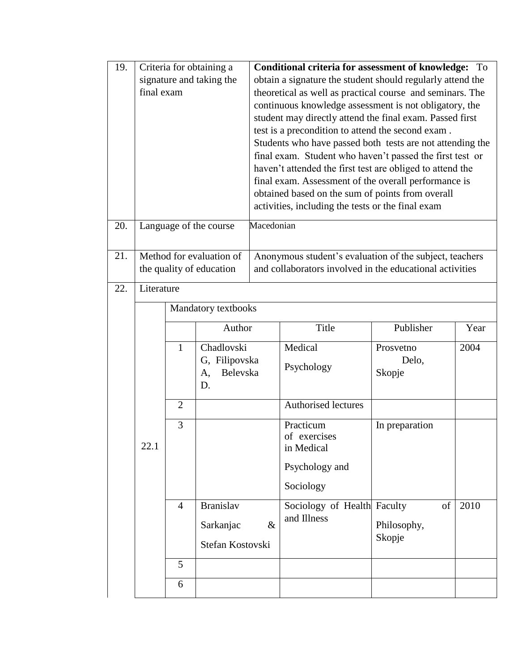| 19. | Criteria for obtaining a<br>signature and taking the<br>final exam |                |                                                      | <b>Conditional criteria for assessment of knowledge:</b><br>To<br>obtain a signature the student should regularly attend the<br>theoretical as well as practical course and seminars. The<br>continuous knowledge assessment is not obligatory, the<br>student may directly attend the final exam. Passed first<br>test is a precondition to attend the second exam.<br>Students who have passed both tests are not attending the<br>final exam. Student who haven't passed the first test or<br>haven't attended the first test are obliged to attend the<br>final exam. Assessment of the overall performance is<br>obtained based on the sum of points from overall<br>activities, including the tests or the final exam |                                                                                                                     |                              |      |  |  |  |
|-----|--------------------------------------------------------------------|----------------|------------------------------------------------------|-----------------------------------------------------------------------------------------------------------------------------------------------------------------------------------------------------------------------------------------------------------------------------------------------------------------------------------------------------------------------------------------------------------------------------------------------------------------------------------------------------------------------------------------------------------------------------------------------------------------------------------------------------------------------------------------------------------------------------|---------------------------------------------------------------------------------------------------------------------|------------------------------|------|--|--|--|
| 20. |                                                                    |                | Language of the course                               | Macedonian                                                                                                                                                                                                                                                                                                                                                                                                                                                                                                                                                                                                                                                                                                                  |                                                                                                                     |                              |      |  |  |  |
| 21. |                                                                    |                | Method for evaluation of<br>the quality of education |                                                                                                                                                                                                                                                                                                                                                                                                                                                                                                                                                                                                                                                                                                                             | Anonymous student's evaluation of the subject, teachers<br>and collaborators involved in the educational activities |                              |      |  |  |  |
| 22. | Literature                                                         |                |                                                      |                                                                                                                                                                                                                                                                                                                                                                                                                                                                                                                                                                                                                                                                                                                             |                                                                                                                     |                              |      |  |  |  |
|     |                                                                    |                | Mandatory textbooks                                  |                                                                                                                                                                                                                                                                                                                                                                                                                                                                                                                                                                                                                                                                                                                             |                                                                                                                     |                              |      |  |  |  |
|     |                                                                    |                | Author                                               |                                                                                                                                                                                                                                                                                                                                                                                                                                                                                                                                                                                                                                                                                                                             | Title                                                                                                               | Publisher                    | Year |  |  |  |
|     |                                                                    | $\mathbf{1}$   | Chadlovski<br>G, Filipovska<br>Belevska<br>A,<br>D.  |                                                                                                                                                                                                                                                                                                                                                                                                                                                                                                                                                                                                                                                                                                                             | Medical<br>Psychology                                                                                               | Prosvetno<br>Delo,<br>Skopje | 2004 |  |  |  |
|     |                                                                    | $\overline{2}$ |                                                      |                                                                                                                                                                                                                                                                                                                                                                                                                                                                                                                                                                                                                                                                                                                             | Authorised lectures                                                                                                 |                              |      |  |  |  |
|     | 22.1                                                               | 3              |                                                      |                                                                                                                                                                                                                                                                                                                                                                                                                                                                                                                                                                                                                                                                                                                             | Practicum<br>of exercises<br>in Medical<br>Psychology and<br>Sociology                                              | In preparation               |      |  |  |  |
|     |                                                                    | $\overline{4}$ | <b>Branislav</b><br>Sarkanjac<br>Stefan Kostovski    | $\&$                                                                                                                                                                                                                                                                                                                                                                                                                                                                                                                                                                                                                                                                                                                        | Sociology of Health Faculty<br>and Illness                                                                          | of<br>Philosophy,<br>Skopje  | 2010 |  |  |  |
|     |                                                                    | 5              |                                                      |                                                                                                                                                                                                                                                                                                                                                                                                                                                                                                                                                                                                                                                                                                                             |                                                                                                                     |                              |      |  |  |  |
|     |                                                                    | 6              |                                                      |                                                                                                                                                                                                                                                                                                                                                                                                                                                                                                                                                                                                                                                                                                                             |                                                                                                                     |                              |      |  |  |  |